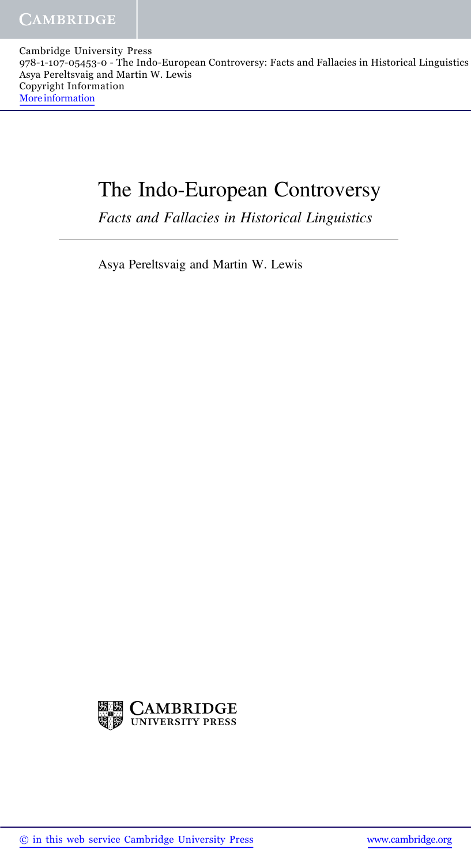Cambridge University Press 978-1-107-05453-0 - The Indo-European Controversy: Facts and Fallacies in Historical Linguistics Asya Pereltsvaig and Martin W. Lewis Copyright Information More information

## The Indo-European Controversy

Facts and Fallacies in Historical Linguistics

Asya Pereltsvaig and Martin W. Lewis